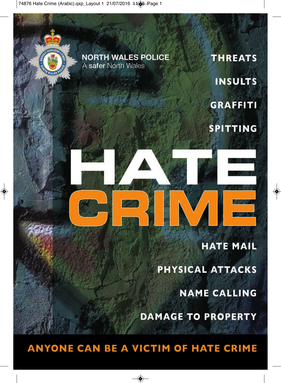74876 Hate Crime (Arabic).qxp\_Layout 1 21/07/2016 11@ Page 1



**ANYONE CAN BE A VICTIM OF HATE CRIME**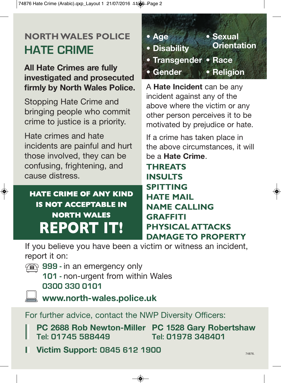74876 Hate Crime (Arabic).qxp\_Layout 1 21/07/2016 11 \$ Page 2

## **NORTH WALES POLICE HATE CRIME**

**All Hate Crimes are fully investigated and prosecuted firmly by North Wales Police.**

Stopping Hate Crime and bringing people who commit crime to justice is a priority.

Hate crimes and hate incidents are painful and hurt those involved, they can be confusing, frightening, and cause distress.

## **HATE CRIME OF ANY KIND IS NOT ACCEPTABLE IN NORTH WALES REPORT IT!**

**• Age • Sexual • Disability • Transgender • Race • Gender • Religion**

A **Hate Incident** can be any incident against any of the above where the victim or any other person perceives it to be motivated by prejudice or hate.

If a crime has taken place in the above circumstances, it will be a **Hate Crime**.

**THREATS INSULTS SPITTING HATE MAIL NAME CALLING GRAFFITI PHYSICAL ATTACKS DAMAGE TO PROPERTY**

If you believe you have been a victim or witness an incident, report it on:

- **999 in an emergency only** 
	- **101** non-urgent from within Wales **0300 330 0101**
	- **www.north-wales.police.uk**

For further advice, contact the NWP Diversity Officers:

 **PC 2688 Rob Newton-Miller PC 1528 Gary Robertshaw** Tel: 01745 588449

 **Victim Support: 0845 612 1900**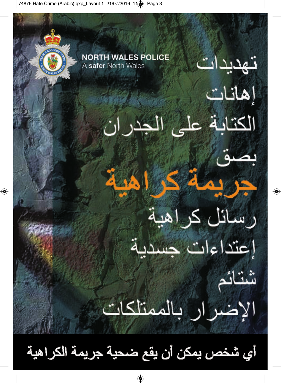74876 Hate Crime (Arabic).qxp\_Layout 1 21/07/2016 11@ Page 3

 $\color{red} \diamondsuit$ 



أي شخص يمكن أن يقع ضحية جريمة الكراهية